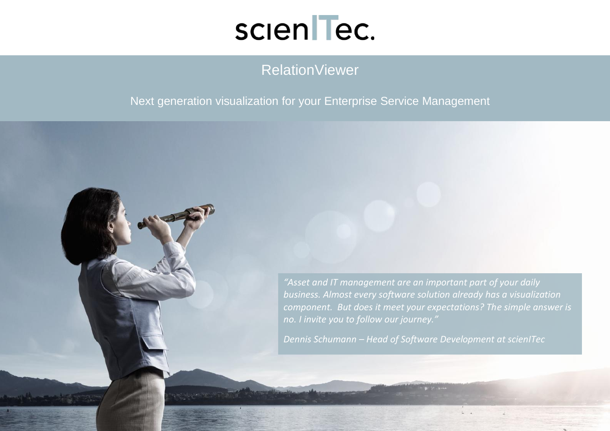

## RelationViewer

#### Next generation visualization for your Enterprise Service Management

*"Asset and IT management are an important part of your daily business. Almost every software solution already has a visualization component. But does it meet your expectations? The simple answer is no. I invite you to follow our journey." Dennis Schumann – Head of Software Development at scienITec*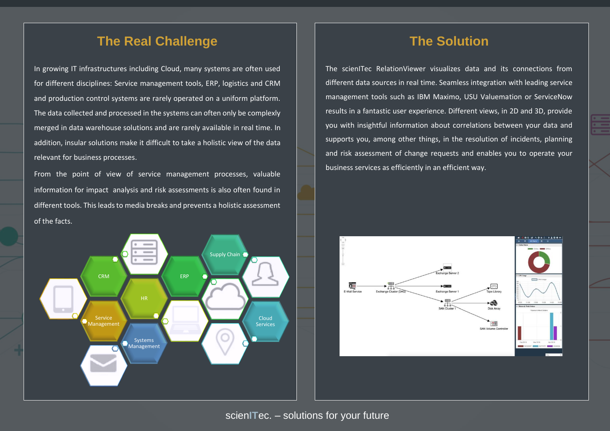#### **The Real Challenge**

In growing IT infrastructures including Cloud, many systems are often used for different disciplines: Service management tools, ERP, logistics and CRM and production control systems are rarely operated on a uniform platform. The data collected and processed in the systems can often only be complexly merged in data warehouse solutions and are rarely available in real time. In addition, insular solutions make it difficult to take a holistic view of the data relevant for business processes.

From the point of view of service management processes, valuable information for impact analysis and risk assessments is also often found in different tools. This leads to media breaks and prevents a holistic assessment of the facts.



#### **The Solution**

The scienITec RelationViewer visualizes data and its connections from different data sources in real time. Seamless integration with leading service management tools such as IBM Maximo, USU Valuemation or ServiceNow results in a fantastic user experience. Different views, in 2D and 3D, provide you with insightful information about correlations between your data and supports you, among other things, in the resolution of incidents, planning and risk assessment of change requests and enables you to operate your business services as efficiently in an efficient way.

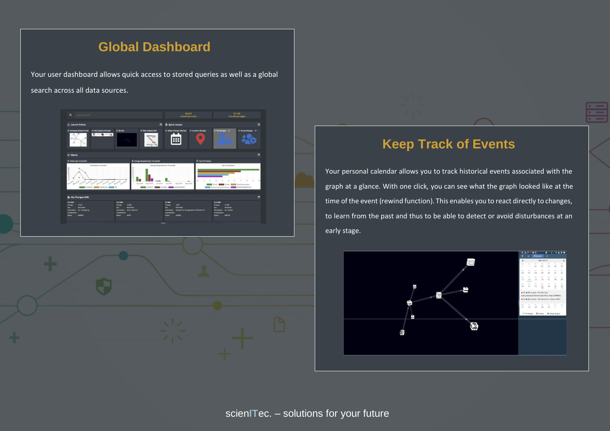## **Global Dashboard**

Your user dashboard allows quick access to stored queries as well as a global search across all data sources.





### **Keep Track of Events**

Your personal calendar allows you to track historical events associated with the graph at a glance. With one click, you can see what the graph looked like at the time of the event (rewind function). This enables you to react directly to changes, to learn from the past and thus to be able to detect or avoid disturbances at an early stage.

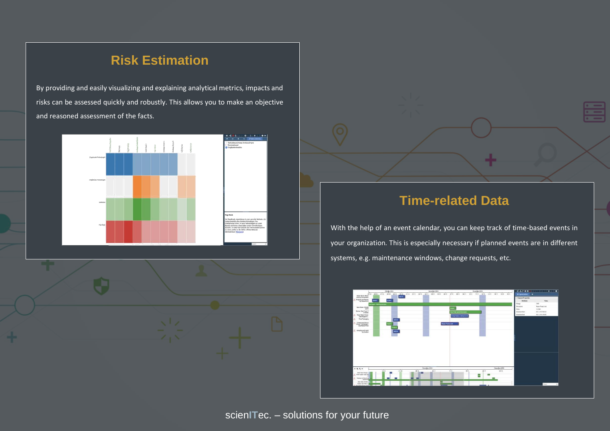## **Risk Estimation**

By providing and easily visualizing and explaining analytical metrics, impacts and risks can be assessed quickly and robustly. This allows you to make an objective and reasoned assessment of the facts.





### **Time-related Data**

With the help of an event calendar, you can keep track of time-based events in your organization. This is especially necessary if planned events are in different systems, e.g. maintenance windows, change requests, etc.